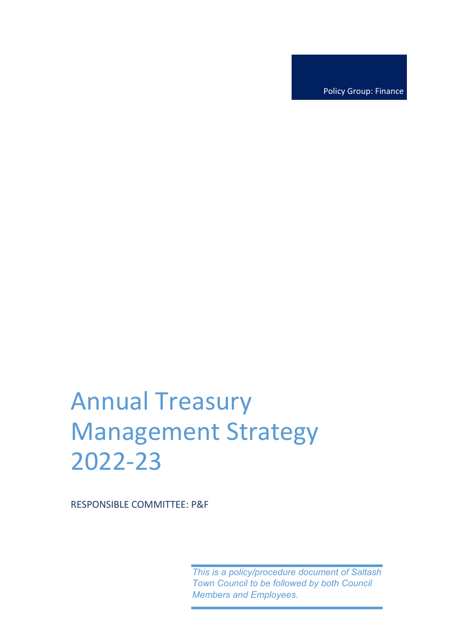Policy Group: Finance

# Annual Treasury Management Strategy 2022-23

RESPONSIBLE COMMITTEE: P&F

*This is a policy/procedure document of Saltash Town Council to be followed by both Council Members and Employees.*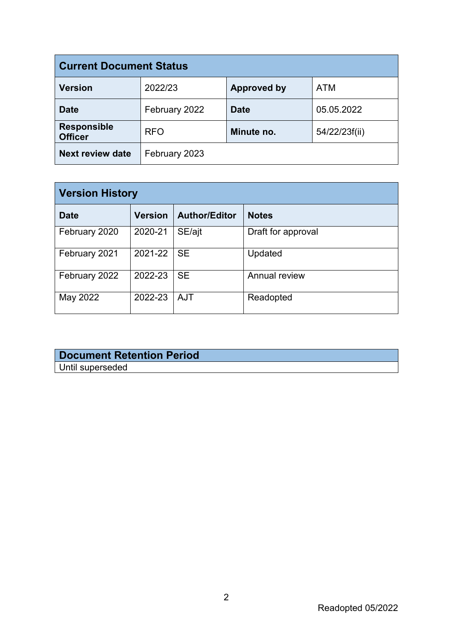| <b>Current Document Status</b>       |               |                    |               |  |
|--------------------------------------|---------------|--------------------|---------------|--|
| <b>Version</b>                       | 2022/23       | <b>Approved by</b> | <b>ATM</b>    |  |
| <b>Date</b>                          | February 2022 | <b>Date</b>        | 05.05.2022    |  |
| <b>Responsible</b><br><b>Officer</b> | <b>RFO</b>    | Minute no.         | 54/22/23f(ii) |  |
| <b>Next review date</b>              | February 2023 |                    |               |  |

| <b>Version History</b> |                |                      |                    |  |
|------------------------|----------------|----------------------|--------------------|--|
| <b>Date</b>            | <b>Version</b> | <b>Author/Editor</b> | <b>Notes</b>       |  |
| February 2020          | 2020-21        | SE/ajt               | Draft for approval |  |
| February 2021          | 2021-22        | <b>SE</b>            | Updated            |  |
| February 2022          | 2022-23        | <b>SE</b>            | Annual review      |  |
| May 2022               | 2022-23        | <b>AJT</b>           | Readopted          |  |

## **Document Retention Period** Until superseded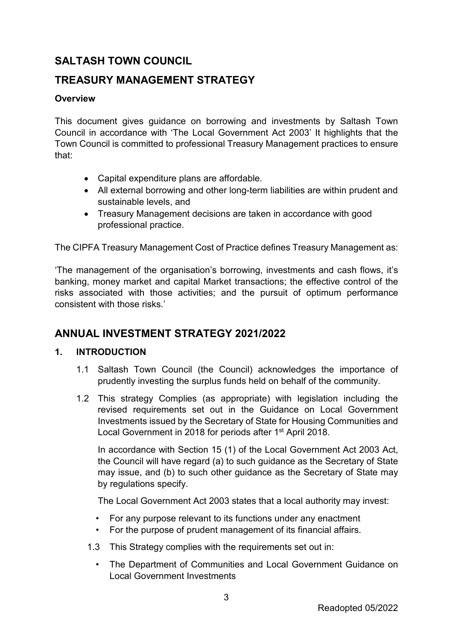# **SALTASH TOWN COUNCIL**

## **TREASURY MANAGEMENT STRATEGY**

#### **Overview**

This document gives guidance on borrowing and investments by Saltash Town Council in accordance with 'The Local Government Act 2003' It highlights that the Town Council is committed to professional Treasury Management practices to ensure that:

- Capital expenditure plans are affordable.
- All external borrowing and other long-term liabilities are within prudent and sustainable levels, and
- Treasury Management decisions are taken in accordance with good professional practice.

The CIPFA Treasury Management Cost of Practice defines Treasury Management as:

'The management of the organisation's borrowing, investments and cash flows, it's banking, money market and capital Market transactions; the effective control of the risks associated with those activities; and the pursuit of optimum performance consistent with those risks.'

# **ANNUAL INVESTMENT STRATEGY 2021/2022**

#### **1. INTRODUCTION**

- 1.1 Saltash Town Council (the Council) acknowledges the importance of prudently investing the surplus funds held on behalf of the community.
- 1.2 This strategy Complies (as appropriate) with legislation including the revised requirements set out in the Guidance on Local Government Investments issued by the Secretary of State for Housing Communities and Local Government in 2018 for periods after 1<sup>st</sup> April 2018.

In accordance with Section 15 (1) of the Local Government Act 2003 Act, the Council will have regard (a) to such guidance as the Secretary of State may issue, and (b) to such other guidance as the Secretary of State may by regulations specify.

The Local Government Act 2003 states that a local authority may invest:

- For any purpose relevant to its functions under any enactment
- For the purpose of prudent management of its financial affairs.
- 1.3 This Strategy complies with the requirements set out in:
	- The Department of Communities and Local Government Guidance on Local Government Investments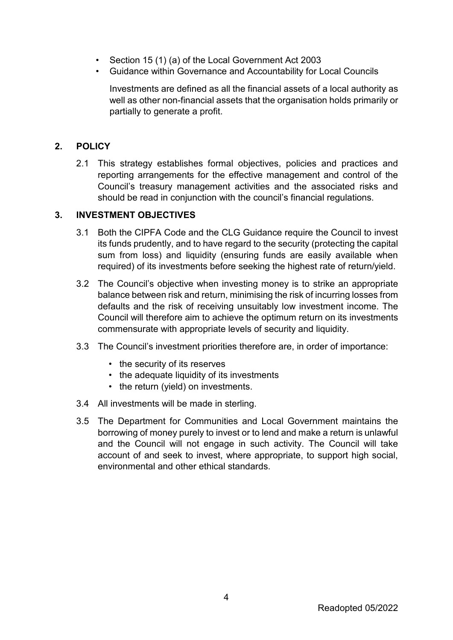- Section 15 (1) (a) of the Local Government Act 2003
- Guidance within Governance and Accountability for Local Councils

Investments are defined as all the financial assets of a local authority as well as other non-financial assets that the organisation holds primarily or partially to generate a profit.

## **2. POLICY**

2.1 This strategy establishes formal objectives, policies and practices and reporting arrangements for the effective management and control of the Council's treasury management activities and the associated risks and should be read in conjunction with the council's financial regulations.

## **3. INVESTMENT OBJECTIVES**

- 3.1 Both the CIPFA Code and the CLG Guidance require the Council to invest its funds prudently, and to have regard to the security (protecting the capital sum from loss) and liquidity (ensuring funds are easily available when required) of its investments before seeking the highest rate of return/yield.
- 3.2 The Council's objective when investing money is to strike an appropriate balance between risk and return, minimising the risk of incurring losses from defaults and the risk of receiving unsuitably low investment income. The Council will therefore aim to achieve the optimum return on its investments commensurate with appropriate levels of security and liquidity.
- 3.3 The Council's investment priorities therefore are, in order of importance:
	- the security of its reserves
	- the adequate liquidity of its investments
	- the return (yield) on investments.
- 3.4 All investments will be made in sterling.
- 3.5 The Department for Communities and Local Government maintains the borrowing of money purely to invest or to lend and make a return is unlawful and the Council will not engage in such activity. The Council will take account of and seek to invest, where appropriate, to support high social, environmental and other ethical standards.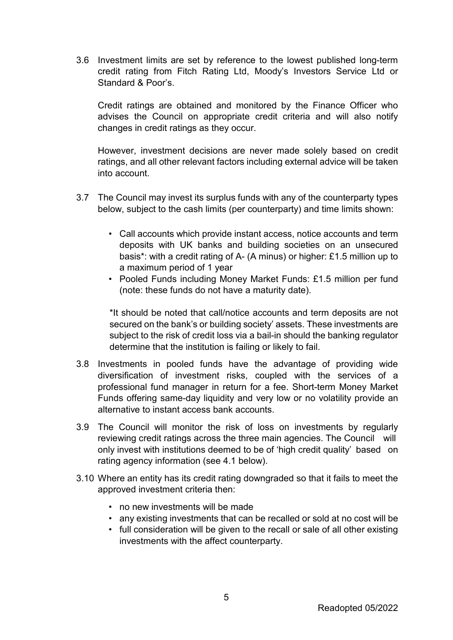3.6 Investment limits are set by reference to the lowest published long-term credit rating from Fitch Rating Ltd, Moody's Investors Service Ltd or Standard & Poor's.

Credit ratings are obtained and monitored by the Finance Officer who advises the Council on appropriate credit criteria and will also notify changes in credit ratings as they occur.

However, investment decisions are never made solely based on credit ratings, and all other relevant factors including external advice will be taken into account.

- 3.7 The Council may invest its surplus funds with any of the counterparty types below, subject to the cash limits (per counterparty) and time limits shown:
	- Call accounts which provide instant access, notice accounts and term deposits with UK banks and building societies on an unsecured basis\*: with a credit rating of A- (A minus) or higher: £1.5 million up to a maximum period of 1 year
	- Pooled Funds including Money Market Funds: £1.5 million per fund (note: these funds do not have a maturity date).

\*It should be noted that call/notice accounts and term deposits are not secured on the bank's or building society' assets. These investments are subject to the risk of credit loss via a bail-in should the banking regulator determine that the institution is failing or likely to fail.

- 3.8 Investments in pooled funds have the advantage of providing wide diversification of investment risks, coupled with the services of a professional fund manager in return for a fee. Short-term Money Market Funds offering same-day liquidity and very low or no volatility provide an alternative to instant access bank accounts.
- 3.9 The Council will monitor the risk of loss on investments by regularly reviewing credit ratings across the three main agencies. The Council will only invest with institutions deemed to be of 'high credit quality' based on rating agency information (see 4.1 below).
- 3.10 Where an entity has its credit rating downgraded so that it fails to meet the approved investment criteria then:
	- no new investments will be made
	- any existing investments that can be recalled or sold at no cost will be
	- full consideration will be given to the recall or sale of all other existing investments with the affect counterparty.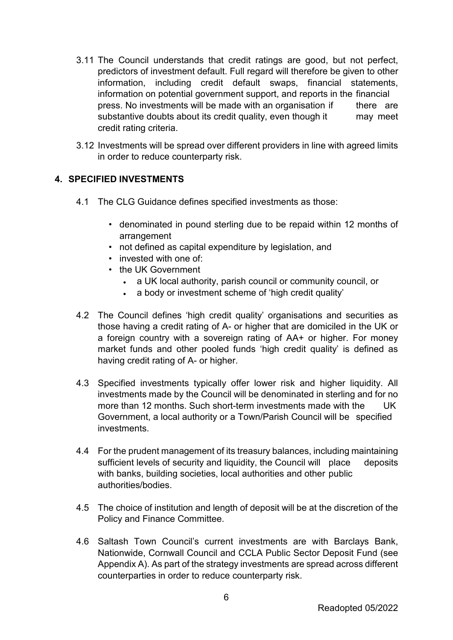- 3.11 The Council understands that credit ratings are good, but not perfect, predictors of investment default. Full regard will therefore be given to other information, including credit default swaps, financial statements, information on potential government support, and reports in the financial press. No investments will be made with an organisation if there are substantive doubts about its credit quality, even though it may meet credit rating criteria.
- 3.12 Investments will be spread over different providers in line with agreed limits in order to reduce counterparty risk.

#### **4. SPECIFIED INVESTMENTS**

- 4.1 The CLG Guidance defines specified investments as those:
	- denominated in pound sterling due to be repaid within 12 months of arrangement
	- not defined as capital expenditure by legislation, and
	- invested with one of
	- the UK Government
		- a UK local authority, parish council or community council, or
		- a body or investment scheme of 'high credit quality'
- 4.2 The Council defines 'high credit quality' organisations and securities as those having a credit rating of A- or higher that are domiciled in the UK or a foreign country with a sovereign rating of AA+ or higher. For money market funds and other pooled funds 'high credit quality' is defined as having credit rating of A- or higher.
- 4.3 Specified investments typically offer lower risk and higher liquidity. All investments made by the Council will be denominated in sterling and for no more than 12 months. Such short-term investments made with the UK Government, a local authority or a Town/Parish Council will be specified investments.
- 4.4 For the prudent management of its treasury balances, including maintaining sufficient levels of security and liquidity, the Council will place deposits with banks, building societies, local authorities and other public authorities/bodies.
- 4.5 The choice of institution and length of deposit will be at the discretion of the Policy and Finance Committee.
- 4.6 Saltash Town Council's current investments are with Barclays Bank, Nationwide, Cornwall Council and CCLA Public Sector Deposit Fund (see Appendix A). As part of the strategy investments are spread across different counterparties in order to reduce counterparty risk.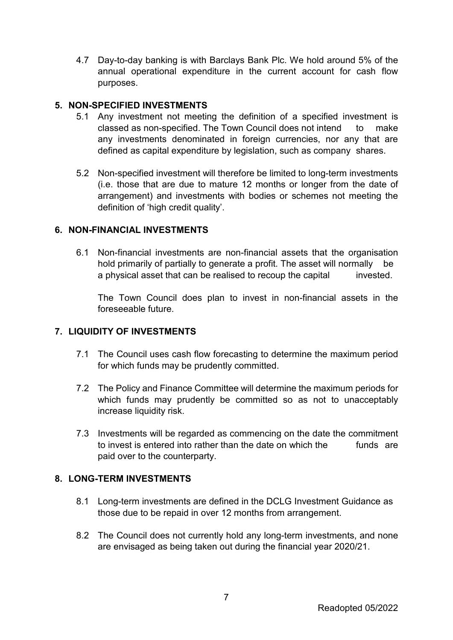4.7 Day-to-day banking is with Barclays Bank Plc. We hold around 5% of the annual operational expenditure in the current account for cash flow purposes.

#### **5. NON-SPECIFIED INVESTMENTS**

- 5.1 Any investment not meeting the definition of a specified investment is classed as non-specified. The Town Council does not intend to make any investments denominated in foreign currencies, nor any that are defined as capital expenditure by legislation, such as company shares.
- 5.2 Non-specified investment will therefore be limited to long-term investments (i.e. those that are due to mature 12 months or longer from the date of arrangement) and investments with bodies or schemes not meeting the definition of 'high credit quality'.

#### **6. NON-FINANCIAL INVESTMENTS**

6.1 Non-financial investments are non-financial assets that the organisation hold primarily of partially to generate a profit. The asset will normally be a physical asset that can be realised to recoup the capital invested.

The Town Council does plan to invest in non-financial assets in the foreseeable future.

#### **7. LIQUIDITY OF INVESTMENTS**

- 7.1 The Council uses cash flow forecasting to determine the maximum period for which funds may be prudently committed.
- 7.2 The Policy and Finance Committee will determine the maximum periods for which funds may prudently be committed so as not to unacceptably increase liquidity risk.
- 7.3 Investments will be regarded as commencing on the date the commitment to invest is entered into rather than the date on which the funds are paid over to the counterparty.

#### **8. LONG-TERM INVESTMENTS**

- 8.1 Long-term investments are defined in the DCLG Investment Guidance as those due to be repaid in over 12 months from arrangement.
- 8.2 The Council does not currently hold any long-term investments, and none are envisaged as being taken out during the financial year 2020/21.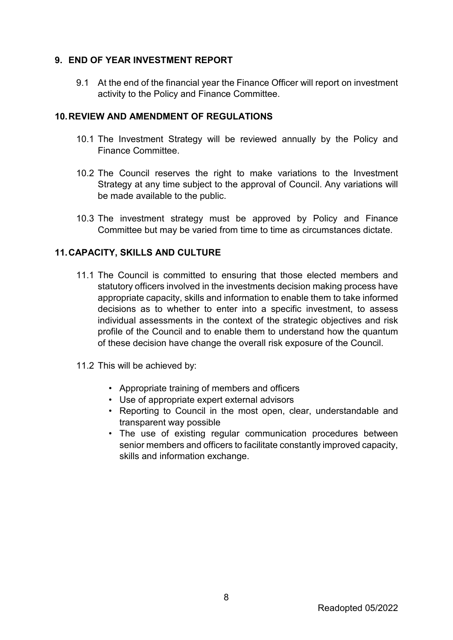#### **9. END OF YEAR INVESTMENT REPORT**

9.1 At the end of the financial year the Finance Officer will report on investment activity to the Policy and Finance Committee.

#### **10.REVIEW AND AMENDMENT OF REGULATIONS**

- 10.1 The Investment Strategy will be reviewed annually by the Policy and Finance Committee.
- 10.2 The Council reserves the right to make variations to the Investment Strategy at any time subject to the approval of Council. Any variations will be made available to the public.
- 10.3 The investment strategy must be approved by Policy and Finance Committee but may be varied from time to time as circumstances dictate.

#### **11.CAPACITY, SKILLS AND CULTURE**

- 11.1 The Council is committed to ensuring that those elected members and statutory officers involved in the investments decision making process have appropriate capacity, skills and information to enable them to take informed decisions as to whether to enter into a specific investment, to assess individual assessments in the context of the strategic objectives and risk profile of the Council and to enable them to understand how the quantum of these decision have change the overall risk exposure of the Council.
- 11.2 This will be achieved by:
	- Appropriate training of members and officers
	- Use of appropriate expert external advisors
	- Reporting to Council in the most open, clear, understandable and transparent way possible
	- The use of existing regular communication procedures between senior members and officers to facilitate constantly improved capacity, skills and information exchange.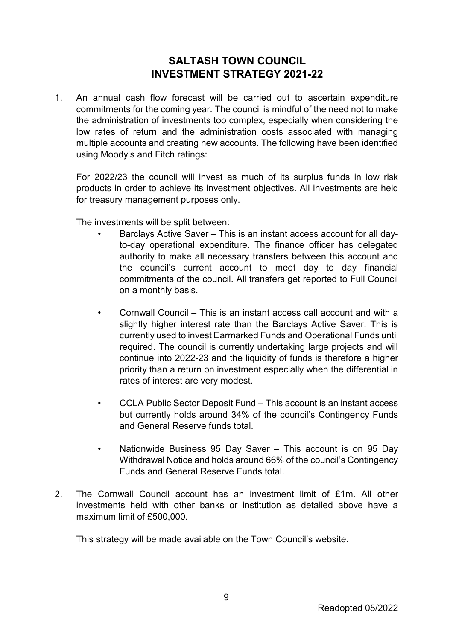# **SALTASH TOWN COUNCIL INVESTMENT STRATEGY 2021-22**

1. An annual cash flow forecast will be carried out to ascertain expenditure commitments for the coming year. The council is mindful of the need not to make the administration of investments too complex, especially when considering the low rates of return and the administration costs associated with managing multiple accounts and creating new accounts. The following have been identified using Moody's and Fitch ratings:

For 2022/23 the council will invest as much of its surplus funds in low risk products in order to achieve its investment objectives. All investments are held for treasury management purposes only.

The investments will be split between:

- Barclays Active Saver This is an instant access account for all dayto-day operational expenditure. The finance officer has delegated authority to make all necessary transfers between this account and the council's current account to meet day to day financial commitments of the council. All transfers get reported to Full Council on a monthly basis.
- Cornwall Council This is an instant access call account and with a slightly higher interest rate than the Barclays Active Saver. This is currently used to invest Earmarked Funds and Operational Funds until required. The council is currently undertaking large projects and will continue into 2022-23 and the liquidity of funds is therefore a higher priority than a return on investment especially when the differential in rates of interest are very modest.
- CCLA Public Sector Deposit Fund This account is an instant access but currently holds around 34% of the council's Contingency Funds and General Reserve funds total.
- Nationwide Business 95 Day Saver This account is on 95 Day Withdrawal Notice and holds around 66% of the council's Contingency Funds and General Reserve Funds total.
- 2. The Cornwall Council account has an investment limit of £1m. All other investments held with other banks or institution as detailed above have a maximum limit of £500,000.

This strategy will be made available on the Town Council's website.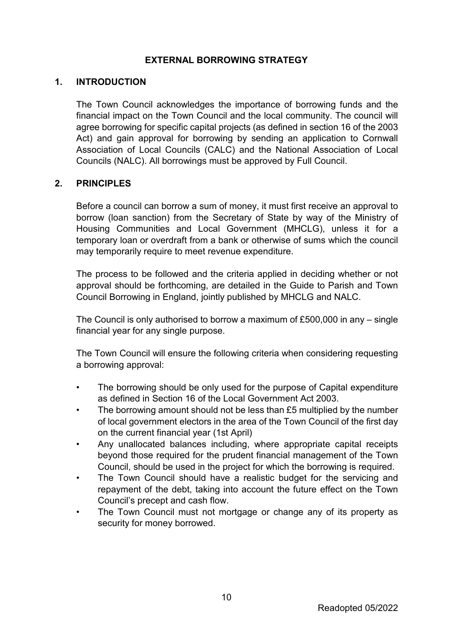#### **EXTERNAL BORROWING STRATEGY**

#### **1. INTRODUCTION**

The Town Council acknowledges the importance of borrowing funds and the financial impact on the Town Council and the local community. The council will agree borrowing for specific capital projects (as defined in section 16 of the 2003 Act) and gain approval for borrowing by sending an application to Cornwall Association of Local Councils (CALC) and the National Association of Local Councils (NALC). All borrowings must be approved by Full Council.

#### **2. PRINCIPLES**

Before a council can borrow a sum of money, it must first receive an approval to borrow (loan sanction) from the Secretary of State by way of the Ministry of Housing Communities and Local Government (MHCLG), unless it for a temporary loan or overdraft from a bank or otherwise of sums which the council may temporarily require to meet revenue expenditure.

The process to be followed and the criteria applied in deciding whether or not approval should be forthcoming, are detailed in the Guide to Parish and Town Council Borrowing in England, jointly published by MHCLG and NALC.

The Council is only authorised to borrow a maximum of £500,000 in any – single financial year for any single purpose.

The Town Council will ensure the following criteria when considering requesting a borrowing approval:

- The borrowing should be only used for the purpose of Capital expenditure as defined in Section 16 of the Local Government Act 2003.
- The borrowing amount should not be less than £5 multiplied by the number of local government electors in the area of the Town Council of the first day on the current financial year (1st April)
- Any unallocated balances including, where appropriate capital receipts beyond those required for the prudent financial management of the Town Council, should be used in the project for which the borrowing is required.
- The Town Council should have a realistic budget for the servicing and repayment of the debt, taking into account the future effect on the Town Council's precept and cash flow.
- The Town Council must not mortgage or change any of its property as security for money borrowed.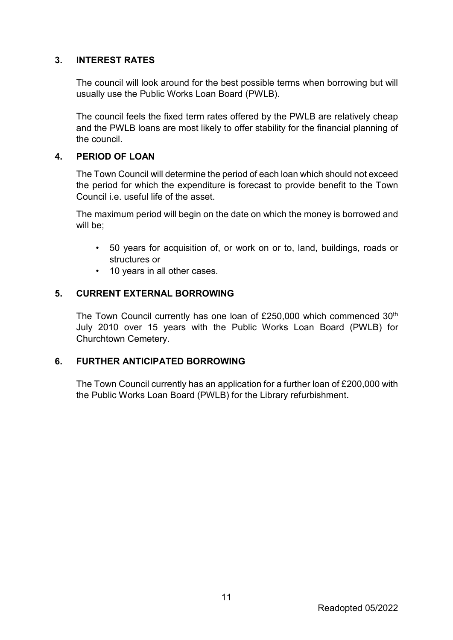#### **3. INTEREST RATES**

The council will look around for the best possible terms when borrowing but will usually use the Public Works Loan Board (PWLB).

The council feels the fixed term rates offered by the PWLB are relatively cheap and the PWLB loans are most likely to offer stability for the financial planning of the council.

#### **4. PERIOD OF LOAN**

The Town Council will determine the period of each loan which should not exceed the period for which the expenditure is forecast to provide benefit to the Town Council i.e. useful life of the asset.

The maximum period will begin on the date on which the money is borrowed and will be:

- 50 years for acquisition of, or work on or to, land, buildings, roads or structures or
- 10 years in all other cases.

#### **5. CURRENT EXTERNAL BORROWING**

The Town Council currently has one loan of £250,000 which commenced 30<sup>th</sup> July 2010 over 15 years with the Public Works Loan Board (PWLB) for Churchtown Cemetery.

#### **6. FURTHER ANTICIPATED BORROWING**

The Town Council currently has an application for a further loan of £200,000 with the Public Works Loan Board (PWLB) for the Library refurbishment.